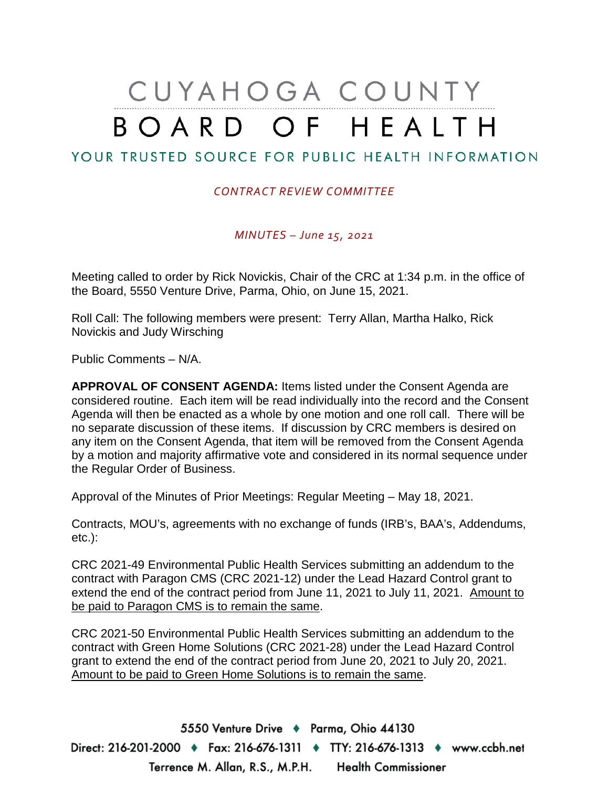# CUYAHOGA COUNTY BOARD OF HEALTH

## YOUR TRUSTED SOURCE FOR PUBLIC HEALTH INFORMATION

## *CONTRACT REVIEW COMMITTEE*

*MINUTES – June 15, 2021*

Meeting called to order by Rick Novickis, Chair of the CRC at 1:34 p.m. in the office of the Board, 5550 Venture Drive, Parma, Ohio, on June 15, 2021.

Roll Call: The following members were present: Terry Allan, Martha Halko, Rick Novickis and Judy Wirsching

Public Comments – N/A.

**APPROVAL OF CONSENT AGENDA:** Items listed under the Consent Agenda are considered routine. Each item will be read individually into the record and the Consent Agenda will then be enacted as a whole by one motion and one roll call. There will be no separate discussion of these items. If discussion by CRC members is desired on any item on the Consent Agenda, that item will be removed from the Consent Agenda by a motion and majority affirmative vote and considered in its normal sequence under the Regular Order of Business.

Approval of the Minutes of Prior Meetings: Regular Meeting – May 18, 2021.

Contracts, MOU's, agreements with no exchange of funds (IRB's, BAA's, Addendums, etc.):

CRC 2021-49 Environmental Public Health Services submitting an addendum to the contract with Paragon CMS (CRC 2021-12) under the Lead Hazard Control grant to extend the end of the contract period from June 11, 2021 to July 11, 2021. Amount to be paid to Paragon CMS is to remain the same.

CRC 2021-50 Environmental Public Health Services submitting an addendum to the contract with Green Home Solutions (CRC 2021-28) under the Lead Hazard Control grant to extend the end of the contract period from June 20, 2021 to July 20, 2021. Amount to be paid to Green Home Solutions is to remain the same.

5550 Venture Drive + Parma, Ohio 44130 Direct: 216-201-2000 ♦ Fax: 216-676-1311 ♦ TTY: 216-676-1313 ♦ www.ccbh.net Terrence M. Allan, R.S., M.P.H. Health Commissioner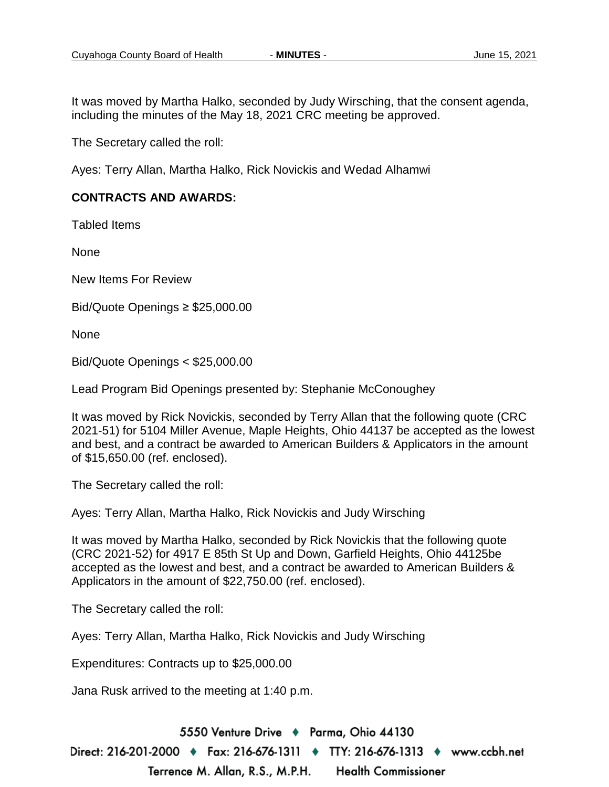It was moved by Martha Halko, seconded by Judy Wirsching, that the consent agenda, including the minutes of the May 18, 2021 CRC meeting be approved.

The Secretary called the roll:

Ayes: Terry Allan, Martha Halko, Rick Novickis and Wedad Alhamwi

## **CONTRACTS AND AWARDS:**

Tabled Items

None

New Items For Review

Bid/Quote Openings ≥ \$25,000.00

None

Bid/Quote Openings < \$25,000.00

Lead Program Bid Openings presented by: Stephanie McConoughey

It was moved by Rick Novickis, seconded by Terry Allan that the following quote (CRC 2021-51) for 5104 Miller Avenue, Maple Heights, Ohio 44137 be accepted as the lowest and best, and a contract be awarded to American Builders & Applicators in the amount of \$15,650.00 (ref. enclosed).

The Secretary called the roll:

Ayes: Terry Allan, Martha Halko, Rick Novickis and Judy Wirsching

It was moved by Martha Halko, seconded by Rick Novickis that the following quote (CRC 2021-52) for 4917 E 85th St Up and Down, Garfield Heights, Ohio 44125be accepted as the lowest and best, and a contract be awarded to American Builders & Applicators in the amount of \$22,750.00 (ref. enclosed).

The Secretary called the roll:

Ayes: Terry Allan, Martha Halko, Rick Novickis and Judy Wirsching

Expenditures: Contracts up to \$25,000.00

Jana Rusk arrived to the meeting at 1:40 p.m.

5550 Venture Drive + Parma, Ohio 44130 Direct: 216-201-2000 ♦ Fax: 216-676-1311 ♦ TTY: 216-676-1313 ♦ www.ccbh.net Terrence M. Allan, R.S., M.P.H. **Health Commissioner**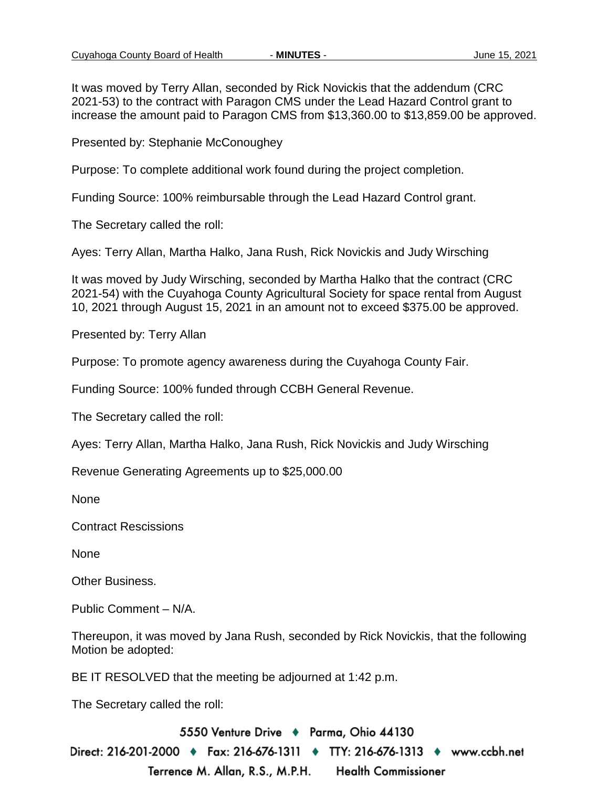It was moved by Terry Allan, seconded by Rick Novickis that the addendum (CRC 2021-53) to the contract with Paragon CMS under the Lead Hazard Control grant to increase the amount paid to Paragon CMS from \$13,360.00 to \$13,859.00 be approved.

Presented by: Stephanie McConoughey

Purpose: To complete additional work found during the project completion.

Funding Source: 100% reimbursable through the Lead Hazard Control grant.

The Secretary called the roll:

Ayes: Terry Allan, Martha Halko, Jana Rush, Rick Novickis and Judy Wirsching

It was moved by Judy Wirsching, seconded by Martha Halko that the contract (CRC 2021-54) with the Cuyahoga County Agricultural Society for space rental from August 10, 2021 through August 15, 2021 in an amount not to exceed \$375.00 be approved.

Presented by: Terry Allan

Purpose: To promote agency awareness during the Cuyahoga County Fair.

Funding Source: 100% funded through CCBH General Revenue.

The Secretary called the roll:

Ayes: Terry Allan, Martha Halko, Jana Rush, Rick Novickis and Judy Wirsching

Revenue Generating Agreements up to \$25,000.00

None

Contract Rescissions

None

Other Business.

Public Comment – N/A.

Thereupon, it was moved by Jana Rush, seconded by Rick Novickis, that the following Motion be adopted:

BE IT RESOLVED that the meeting be adjourned at 1:42 p.m.

The Secretary called the roll:

5550 Venture Drive + Parma, Ohio 44130 Direct: 216-201-2000 ♦ Fax: 216-676-1311 ♦ TTY: 216-676-1313 ♦ www.ccbh.net Terrence M. Allan, R.S., M.P.H. **Health Commissioner**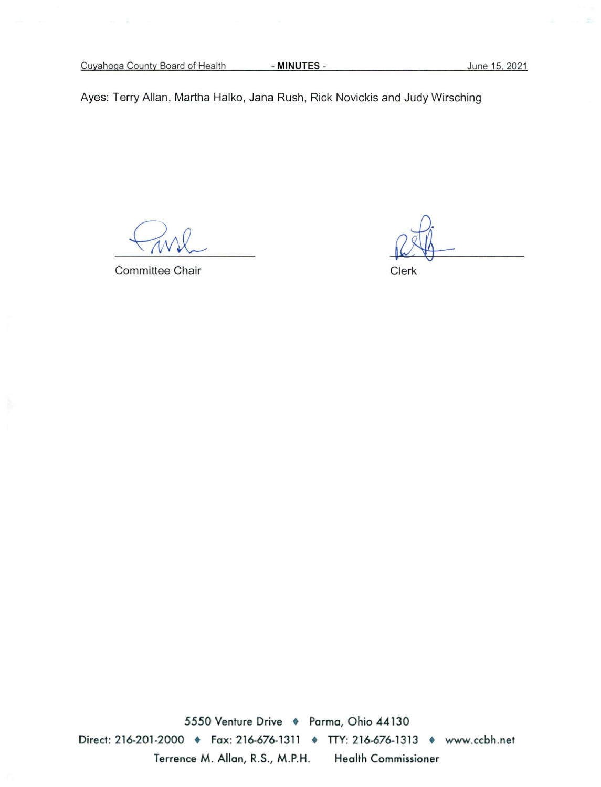Cuyahoga County Board of Health

- MINUTES -

Ayes: Terry Allan, Martha Halko, Jana Rush, Rick Novickis and Judy Wirsching

Committee Chair

Clerk

5550 Venture Drive + Parma, Ohio 44130 Direct: 216-201-2000 • Fax: 216-676-1311 • TTY: 216-676-1313 • www.ccbh.net Terrence M. Allan, R.S., M.P.H. Health Commissioner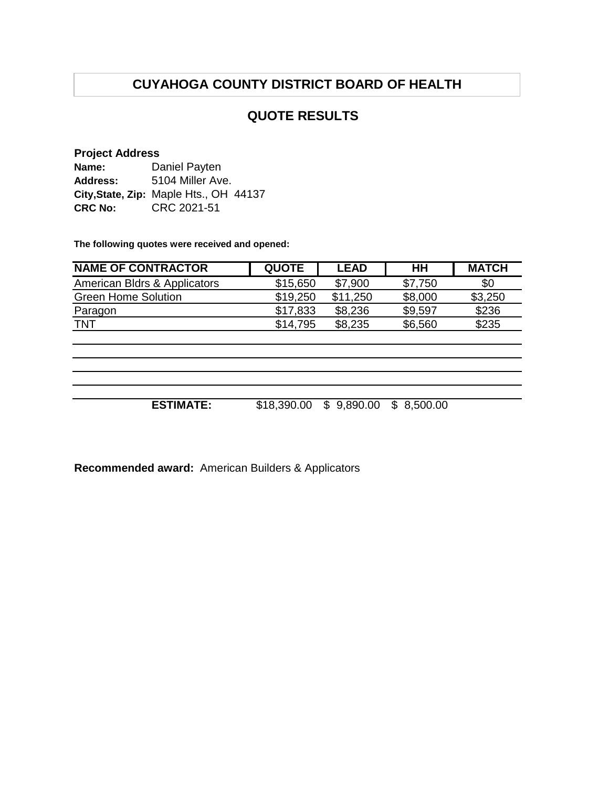# **CUYAHOGA COUNTY DISTRICT BOARD OF HEALTH**

## **QUOTE RESULTS**

## **Project Address**

| Name:           | Daniel Payten                          |
|-----------------|----------------------------------------|
| <b>Address:</b> | 5104 Miller Ave.                       |
|                 | City, State, Zip: Maple Hts., OH 44137 |
| <b>CRC No:</b>  | CRC 2021-51                            |

**The following quotes were received and opened:**

| <b>NAME OF CONTRACTOR</b>    | <b>QUOTE</b> | <b>LEAD</b> | HH              | <b>MATCH</b> |
|------------------------------|--------------|-------------|-----------------|--------------|
| American Bldrs & Applicators | \$15,650     | \$7,900     | \$7,750         | \$0          |
| <b>Green Home Solution</b>   | \$19,250     | \$11,250    | \$8,000         | \$3,250      |
| Paragon                      | \$17,833     | \$8,236     | \$9,597         | \$236        |
| <b>TNT</b>                   | \$14,795     | \$8,235     | \$6,560         | \$235        |
|                              |              |             |                 |              |
|                              |              |             |                 |              |
|                              |              |             |                 |              |
|                              |              |             |                 |              |
|                              |              |             |                 |              |
| <b>ESTIMATE:</b>             | \$18,390.00  | \$9,890.00  | 8,500.00<br>\$. |              |
|                              |              |             |                 |              |

**Recommended award:** American Builders & Applicators